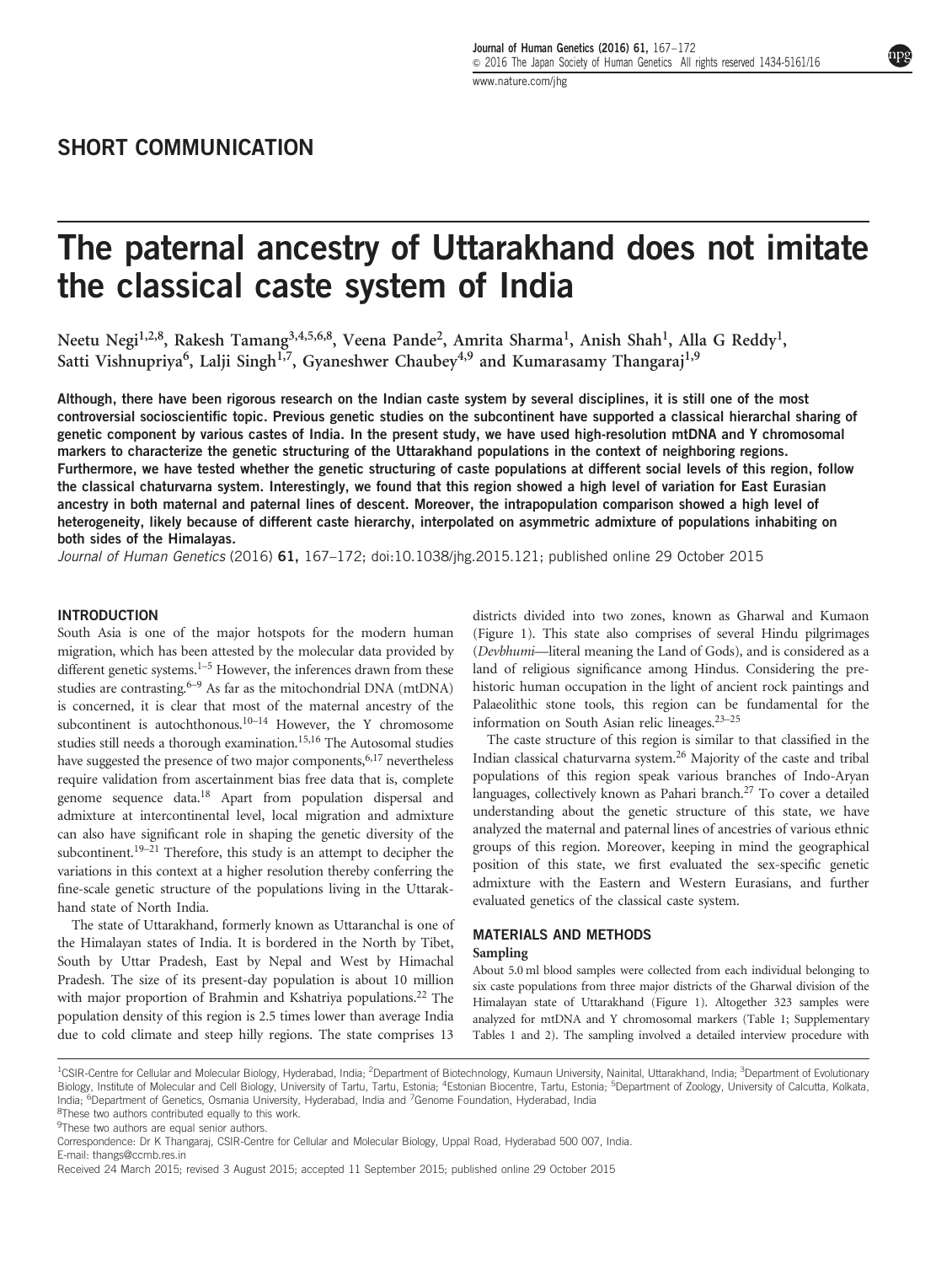# SHORT COMMUNICATION

# The paternal ancestry of Uttarakhand does not imitate the classical caste system of India

Neetu Negi<sup>1,2,8</sup>, Rakesh Tamang<sup>3,4,5,6,8</sup>, Veena Pande<sup>2</sup>, Amrita Sharma<sup>1</sup>, Anish Shah<sup>1</sup>, Alla G Reddy<sup>1</sup>, Satti Vishnupriya<sup>6</sup>, Lalji Singh<sup>1,7</sup>, Gyaneshwer Chaubey<sup>4,9</sup> and Kumarasamy Thangaraj<sup>1,9</sup>

Although, there have been rigorous research on the Indian caste system by several disciplines, it is still one of the most controversial socioscientific topic. Previous genetic studies on the subcontinent have supported a classical hierarchal sharing of genetic component by various castes of India. In the present study, we have used high-resolution mtDNA and Y chromosomal markers to characterize the genetic structuring of the Uttarakhand populations in the context of neighboring regions. Furthermore, we have tested whether the genetic structuring of caste populations at different social levels of this region, follow the classical chaturvarna system. Interestingly, we found that this region showed a high level of variation for East Eurasian ancestry in both maternal and paternal lines of descent. Moreover, the intrapopulation comparison showed a high level of heterogeneity, likely because of different caste hierarchy, interpolated on asymmetric admixture of populations inhabiting on both sides of the Himalayas.

*Journal of Human Genetics* (2016) 61, 167–172; doi:10.1038/jhg.2015.121; published online 29 October 2015

#### **INTRODUCTION**

South Asia is one of the major hotspots for the modern human migration, which has been attested by the molecular data provided by different genetic systems.<sup>1–5</sup> However, the inferences drawn from these studies are contrasting.<sup> $6-9$ </sup> As far as the mitochondrial DNA (mtDNA) is concerned, it is clear that most of the maternal ancestry of the subcontinent is autochthonous.<sup>10–14</sup> However, the Y chromosome studies still needs a thorough examination.15,16 The Autosomal studies have suggested the presence of two major components,  $6,17$  nevertheless require validation from ascertainment bias free data that is, complete genome sequence data.<sup>18</sup> Apart from population dispersal and admixture at intercontinental level, local migration and admixture can also have significant role in shaping the genetic diversity of the subcontinent.<sup>19–21</sup> Therefore, this study is an attempt to decipher the variations in this context at a higher resolution thereby conferring the fine-scale genetic structure of the populations living in the Uttarakhand state of North India.

The state of Uttarakhand, formerly known as Uttaranchal is one of the Himalayan states of India. It is bordered in the North by Tibet, South by Uttar Pradesh, East by Nepal and West by Himachal Pradesh. The size of its present-day population is about 10 million with major proportion of Brahmin and Kshatriya populations.<sup>22</sup> The population density of this region is 2.5 times lower than average India due to cold climate and steep hilly regions. The state comprises 13

districts divided into two zones, known as Gharwal and Kumaon (Figure 1). This state also comprises of several Hindu pilgrimages (Devbhumi—literal meaning the Land of Gods), and is considered as a land of religious significance among Hindus. Considering the prehistoric human occupation in the light of ancient rock paintings and Palaeolithic stone tools, this region can be fundamental for the information on South Asian relic lineages.23–<sup>25</sup>

The caste structure of this region is similar to that classified in the Indian classical chaturvarna system.<sup>26</sup> Majority of the caste and tribal populations of this region speak various branches of Indo-Aryan languages, collectively known as Pahari branch.<sup>27</sup> To cover a detailed understanding about the genetic structure of this state, we have analyzed the maternal and paternal lines of ancestries of various ethnic groups of this region. Moreover, keeping in mind the geographical position of this state, we first evaluated the sex-specific genetic admixture with the Eastern and Western Eurasians, and further evaluated genetics of the classical caste system.

# MATERIALS AND METHODS

#### Sampling

About 5.0 ml blood samples were collected from each individual belonging to six caste populations from three major districts of the Gharwal division of the Himalayan state of Uttarakhand (Figure 1). Altogether 323 samples were analyzed for mtDNA and Y chromosomal markers (Table 1; Supplementary Tables 1 and 2). The sampling involved a detailed interview procedure with

<sup>9</sup>These two authors are equal senior authors.

E-mail: thangs@ccmb.res.in

<sup>&</sup>lt;sup>1</sup>CSIR-Centre for Cellular and Molecular Biology, Hyderabad, India; <sup>2</sup>Department of Biotechnology, Kumaun University, Nainital, Uttarakhand, India; <sup>3</sup>Department of Evolutionary Biology, Institute of Molecular and Cell Biology, University of Tartu, Tartu, Estonia; <sup>4</sup>Estonian Biocentre, Tartu, Estonia; <sup>5</sup>Department of Zoology, University of Calcutta, Kolkata, India; <sup>6</sup>Department of Genetics, Osmania University, Hyderabad, India and <sup>7</sup>Genome Foundation, Hyderabad, India

<sup>&</sup>lt;sup>8</sup>These two authors contributed equally to this work.

Correspondence: Dr K Thangaraj, CSIR-Centre for Cellular and Molecular Biology, Uppal Road, Hyderabad 500 007, India.

Received 24 March 2015; revised 3 August 2015; accepted 11 September 2015; published online 29 October 2015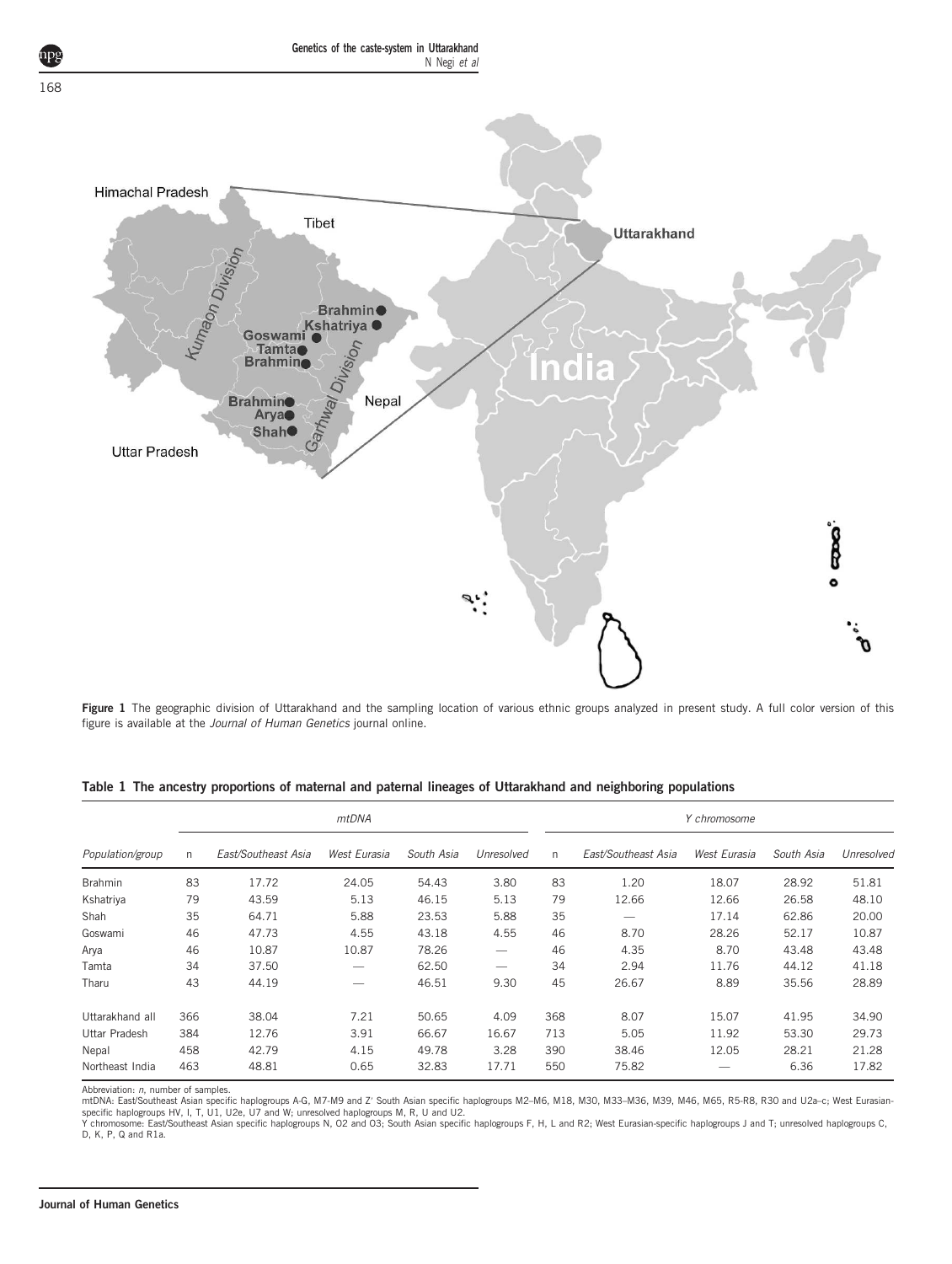

Figure 1 The geographic division of Uttarakhand and the sampling location of various ethnic groups analyzed in present study. A full color version of this figure is available at the *Journal of Human Genetics* journal online.

| Population/group | mtDNA |                     |                          |            |            | Y chromosome |                     |              |            |            |
|------------------|-------|---------------------|--------------------------|------------|------------|--------------|---------------------|--------------|------------|------------|
|                  | n     | East/Southeast Asia | West Eurasia             | South Asia | Unresolved | $\mathsf{n}$ | East/Southeast Asia | West Eurasia | South Asia | Unresolved |
| <b>Brahmin</b>   | 83    | 17.72               | 24.05                    | 54.43      | 3.80       | 83           | 1.20                | 18.07        | 28.92      | 51.81      |
| Kshatriya        | 79    | 43.59               | 5.13                     | 46.15      | 5.13       | 79           | 12.66               | 12.66        | 26.58      | 48.10      |
| Shah             | 35    | 64.71               | 5.88                     | 23.53      | 5.88       | 35           |                     | 17.14        | 62.86      | 20.00      |
| Goswami          | 46    | 47.73               | 4.55                     | 43.18      | 4.55       | 46           | 8.70                | 28.26        | 52.17      | 10.87      |
| Arya             | 46    | 10.87               | 10.87                    | 78.26      |            | 46           | 4.35                | 8.70         | 43.48      | 43.48      |
| Tamta            | 34    | 37.50               | $\overline{\phantom{0}}$ | 62.50      |            | 34           | 2.94                | 11.76        | 44.12      | 41.18      |
| Tharu            | 43    | 44.19               |                          | 46.51      | 9.30       | 45           | 26.67               | 8.89         | 35.56      | 28.89      |
| Uttarakhand all  | 366   | 38.04               | 7.21                     | 50.65      | 4.09       | 368          | 8.07                | 15.07        | 41.95      | 34.90      |
| Uttar Pradesh    | 384   | 12.76               | 3.91                     | 66.67      | 16.67      | 713          | 5.05                | 11.92        | 53.30      | 29.73      |
| Nepal            | 458   | 42.79               | 4.15                     | 49.78      | 3.28       | 390          | 38.46               | 12.05        | 28.21      | 21.28      |
| Northeast India  | 463   | 48.81               | 0.65                     | 32.83      | 17.71      | 550          | 75.82               |              | 6.36       | 17.82      |

Table 1 The ancestry proportions of maternal and paternal lineages of Uttarakhand and neighboring populations

Abbreviation: *n*, number of samples.<br>mtDNA: East/Southeast Asian specific haplogroups A-G, M7-M9 and Z′ South Asian specific haplogroups M2–M6, M18, M30, M33–M36, M39, M46, M65, R5-R8, R30 and U2a–c; West Eurasian-<br>specif

Y chromosome: East/Southeast Asian specific haplogroups N, O2 and O3; South Asian specific haplogroups F, H, L and R2; West Eurasian-specific haplogroups J and T; unresolved haplogroups C, D, K, P, Q and R1a.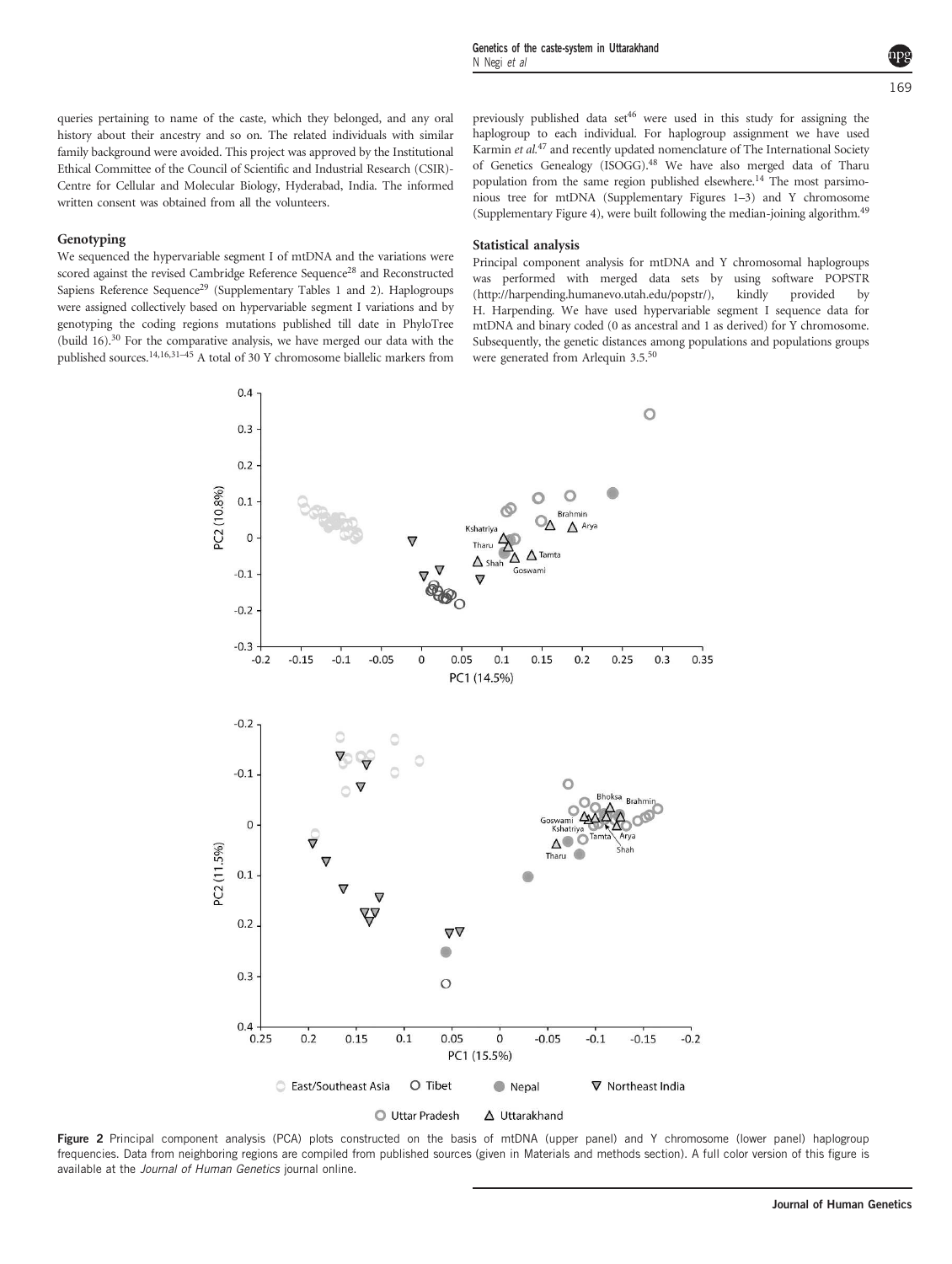Genetics of the caste-system in Uttarakhand N Negi *et al*

queries pertaining to name of the caste, which they belonged, and any oral history about their ancestry and so on. The related individuals with similar family background were avoided. This project was approved by the Institutional Ethical Committee of the Council of Scientific and Industrial Research (CSIR)- Centre for Cellular and Molecular Biology, Hyderabad, India. The informed written consent was obtained from all the volunteers.

# Genotyping

We sequenced the hypervariable segment I of mtDNA and the variations were scored against the revised Cambridge Reference Sequence<sup>28</sup> and Reconstructed Sapiens Reference Sequence<sup>29</sup> (Supplementary Tables 1 and 2). Haplogroups were assigned collectively based on hypervariable segment I variations and by genotyping the coding regions mutations published till date in PhyloTree (build 16).<sup>30</sup> For the comparative analysis, we have merged our data with the published sources.14,16,31–<sup>45</sup> A total of 30 Y chromosome biallelic markers from previously published data set<sup>46</sup> were used in this study for assigning the haplogroup to each individual. For haplogroup assignment we have used Karmin et al.<sup>47</sup> and recently updated nomenclature of The International Society of Genetics Genealogy (ISOGG).<sup>48</sup> We have also merged data of Tharu population from the same region published elsewhere.<sup>14</sup> The most parsimonious tree for mtDNA (Supplementary Figures 1–3) and Y chromosome (Supplementary Figure 4), were built following the median-joining algorithm.<sup>49</sup>

#### Statistical analysis

Principal component analysis for mtDNA and Y chromosomal haplogroups was performed with merged data sets by using software POPSTR (http://harpending.humanevo.utah.edu/popstr/), kindly provided by H. Harpending. We have used hypervariable segment I sequence data for mtDNA and binary coded (0 as ancestral and 1 as derived) for Y chromosome. Subsequently, the genetic distances among populations and populations groups were generated from Arlequin 3.5.<sup>50</sup>



Figure 2 Principal component analysis (PCA) plots constructed on the basis of mtDNA (upper panel) and Y chromosome (lower panel) haplogroup frequencies. Data from neighboring regions are compiled from published sources (given in Materials and methods section). A full color version of this figure is available at the *Journal of Human Genetics* journal online.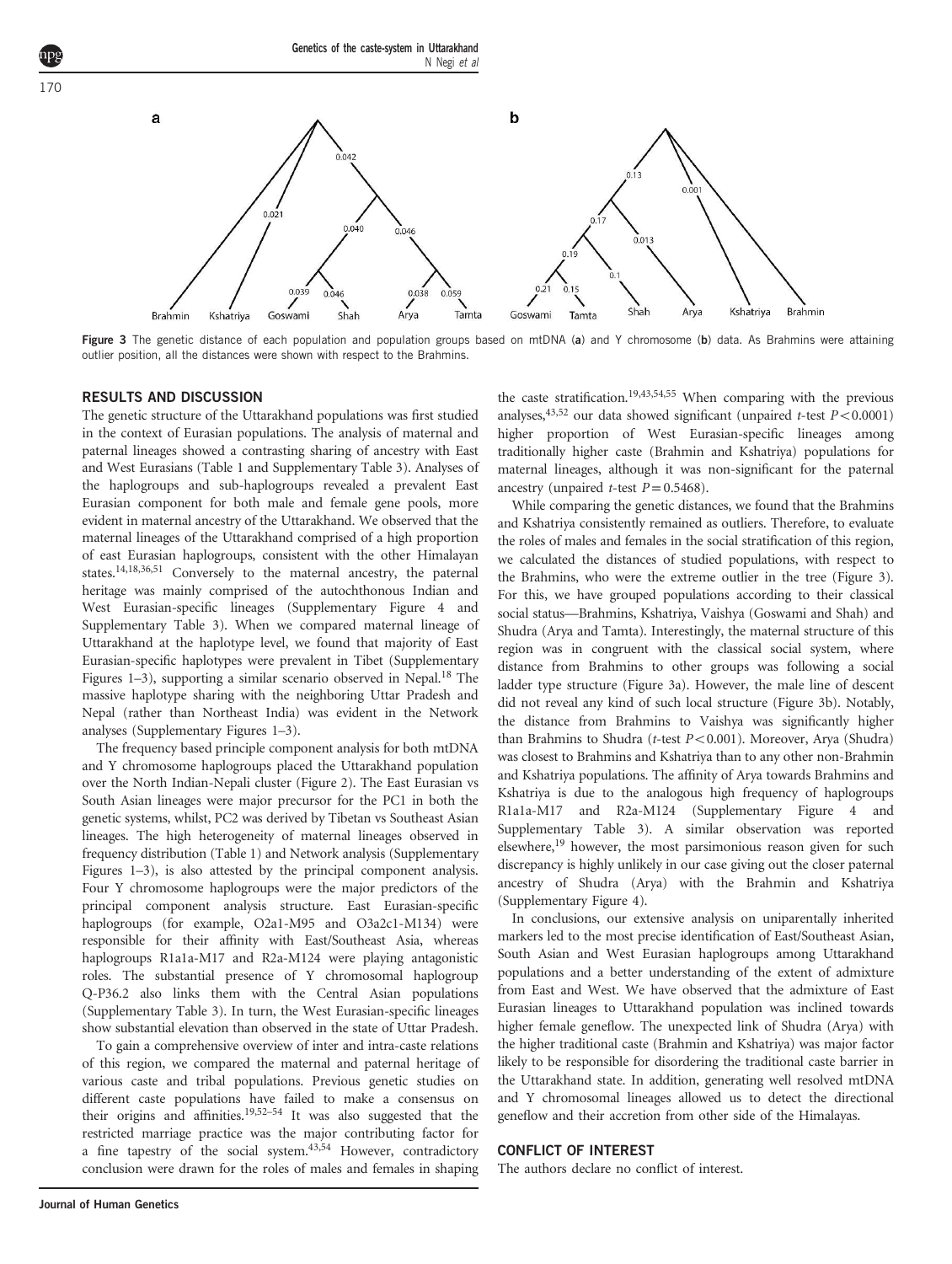Genetics of the caste-system in Uttarakhand N Negi *et al* 170 b a  $0.021$  $0.040$  $0.039$  $0.038$ 

Arya

Figure 3 The genetic distance of each population and population groups based on mtDNA (a) and Y chromosome (b) data. As Brahmins were attaining outlier position, all the distances were shown with respect to the Brahmins.

Goswami

Tamta

Tamta

# RESULTS AND DISCUSSION

Brahmin

Kshatriya

The genetic structure of the Uttarakhand populations was first studied in the context of Eurasian populations. The analysis of maternal and paternal lineages showed a contrasting sharing of ancestry with East and West Eurasians (Table 1 and Supplementary Table 3). Analyses of the haplogroups and sub-haplogroups revealed a prevalent East Eurasian component for both male and female gene pools, more evident in maternal ancestry of the Uttarakhand. We observed that the maternal lineages of the Uttarakhand comprised of a high proportion of east Eurasian haplogroups, consistent with the other Himalayan states.14,18,36,51 Conversely to the maternal ancestry, the paternal heritage was mainly comprised of the autochthonous Indian and West Eurasian-specific lineages (Supplementary Figure 4 and Supplementary Table 3). When we compared maternal lineage of Uttarakhand at the haplotype level, we found that majority of East Eurasian-specific haplotypes were prevalent in Tibet (Supplementary Figures  $1-3$ ), supporting a similar scenario observed in Nepal.<sup>18</sup> The massive haplotype sharing with the neighboring Uttar Pradesh and Nepal (rather than Northeast India) was evident in the Network analyses (Supplementary Figures 1–3).

Goswami

Shah

The frequency based principle component analysis for both mtDNA and Y chromosome haplogroups placed the Uttarakhand population over the North Indian-Nepali cluster (Figure 2). The East Eurasian vs South Asian lineages were major precursor for the PC1 in both the genetic systems, whilst, PC2 was derived by Tibetan vs Southeast Asian lineages. The high heterogeneity of maternal lineages observed in frequency distribution (Table 1) and Network analysis (Supplementary Figures 1–3), is also attested by the principal component analysis. Four Y chromosome haplogroups were the major predictors of the principal component analysis structure. East Eurasian-specific haplogroups (for example, O2a1-M95 and O3a2c1-M134) were responsible for their affinity with East/Southeast Asia, whereas haplogroups R1a1a-M17 and R2a-M124 were playing antagonistic roles. The substantial presence of Y chromosomal haplogroup Q-P36.2 also links them with the Central Asian populations (Supplementary Table 3). In turn, the West Eurasian-specific lineages show substantial elevation than observed in the state of Uttar Pradesh.

To gain a comprehensive overview of inter and intra-caste relations of this region, we compared the maternal and paternal heritage of various caste and tribal populations. Previous genetic studies on different caste populations have failed to make a consensus on their origins and affinities.19,52–<sup>54</sup> It was also suggested that the restricted marriage practice was the major contributing factor for a fine tapestry of the social system.<sup>43,54</sup> However, contradictory conclusion were drawn for the roles of males and females in shaping the caste stratification.<sup>19,43,54,55</sup> When comparing with the previous analyses,  $43,52$  our data showed significant (unpaired t-test  $P < 0.0001$ ) higher proportion of West Eurasian-specific lineages among traditionally higher caste (Brahmin and Kshatriya) populations for maternal lineages, although it was non-significant for the paternal ancestry (unpaired *t*-test  $P = 0.5468$ ).

Arya

Kshatriya

Brahmin

Shah

While comparing the genetic distances, we found that the Brahmins and Kshatriya consistently remained as outliers. Therefore, to evaluate the roles of males and females in the social stratification of this region, we calculated the distances of studied populations, with respect to the Brahmins, who were the extreme outlier in the tree (Figure 3). For this, we have grouped populations according to their classical social status—Brahmins, Kshatriya, Vaishya (Goswami and Shah) and Shudra (Arya and Tamta). Interestingly, the maternal structure of this region was in congruent with the classical social system, where distance from Brahmins to other groups was following a social ladder type structure (Figure 3a). However, the male line of descent did not reveal any kind of such local structure (Figure 3b). Notably, the distance from Brahmins to Vaishya was significantly higher than Brahmins to Shudra ( $t$ -test  $P < 0.001$ ). Moreover, Arya (Shudra) was closest to Brahmins and Kshatriya than to any other non-Brahmin and Kshatriya populations. The affinity of Arya towards Brahmins and Kshatriya is due to the analogous high frequency of haplogroups R1a1a-M17 and R2a-M124 (Supplementary Figure 4 and Supplementary Table 3). A similar observation was reported elsewhere,<sup>19</sup> however, the most parsimonious reason given for such discrepancy is highly unlikely in our case giving out the closer paternal ancestry of Shudra (Arya) with the Brahmin and Kshatriya (Supplementary Figure 4).

In conclusions, our extensive analysis on uniparentally inherited markers led to the most precise identification of East/Southeast Asian, South Asian and West Eurasian haplogroups among Uttarakhand populations and a better understanding of the extent of admixture from East and West. We have observed that the admixture of East Eurasian lineages to Uttarakhand population was inclined towards higher female geneflow. The unexpected link of Shudra (Arya) with the higher traditional caste (Brahmin and Kshatriya) was major factor likely to be responsible for disordering the traditional caste barrier in the Uttarakhand state. In addition, generating well resolved mtDNA and Y chromosomal lineages allowed us to detect the directional geneflow and their accretion from other side of the Himalayas.

# CONFLICT OF INTEREST

The authors declare no conflict of interest.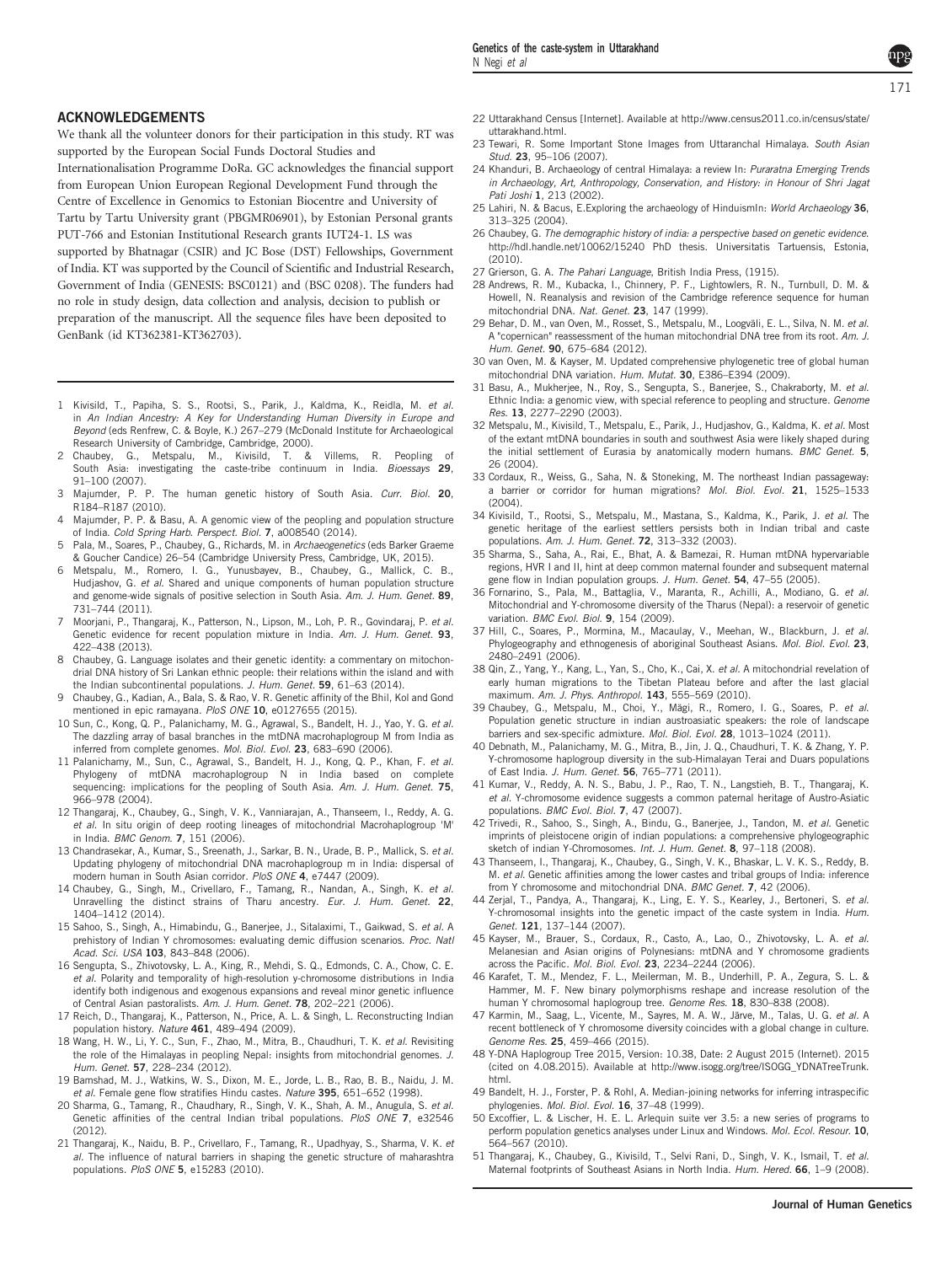#### ACKNOWLEDGEMENTS

We thank all the volunteer donors for their participation in this study. RT was supported by the European Social Funds Doctoral Studies and Internationalisation Programme DoRa. GC acknowledges the financial support from European Union European Regional Development Fund through the Centre of Excellence in Genomics to Estonian Biocentre and University of Tartu by Tartu University grant (PBGMR06901), by Estonian Personal grants PUT-766 and Estonian Institutional Research grants IUT24-1. LS was supported by Bhatnagar (CSIR) and JC Bose (DST) Fellowships, Government of India. KT was supported by the Council of Scientific and Industrial Research, Government of India (GENESIS: BSC0121) and (BSC 0208). The funders had no role in study design, data collection and analysis, decision to publish or preparation of the manuscript. All the sequence files have been deposited to GenBank (id KT362381-KT362703).

- 1 Kivisild, T., Papiha, S. S., Rootsi, S., Parik, J., Kaldma, K., Reidla, M. *et al.* in *An Indian Ancestry: A Key for Understanding Human Diversity in Europe and Beyond* (eds Renfrew, C. & Boyle, K.) 267–279 (McDonald Institute for Archaeological Research University of Cambridge, Cambridge, 2000).
- 2 Chaubey, G., Metspalu, M., Kivisild, T. & Villems, R. Peopling South Asia: investigating the caste-tribe continuum in India. *Bioessays* 29, 91–100 (2007).
- 3 Majumder, P. P. The human genetic history of South Asia. *Curr. Biol.* 20, R184–R187 (2010).
- 4 Majumder, P. P. & Basu, A. A genomic view of the peopling and population structure of India. *Cold Spring Harb. Perspect. Biol.* 7, a008540 (2014).
- 5 Pala, M., Soares, P., Chaubey, G., Richards, M. in *Archaeogenetics* (eds Barker Graeme & Goucher Candice) 26–54 (Cambridge University Press, Cambridge, UK, 2015).
- 6 Metspalu, M., Romero, I. G., Yunusbayev, B., Chaubey, G., Mallick, C. B., Hudjashov, G. *et al.* Shared and unique components of human population structure and genome-wide signals of positive selection in South Asia. *Am. J. Hum. Genet.* 89, 731–744 (2011).
- 7 Moorjani, P., Thangaraj, K., Patterson, N., Lipson, M., Loh, P. R., Govindaraj, P. *et al.* Genetic evidence for recent population mixture in India. *Am. J. Hum. Genet.* 93, 422–438 (2013).
- 8 Chaubey, G. Language isolates and their genetic identity: a commentary on mitochondrial DNA history of Sri Lankan ethnic people: their relations within the island and with the Indian subcontinental populations. *J. Hum. Genet.* 59, 61–63 (2014).
- 9 Chaubey, G., Kadian, A., Bala, S. & Rao, V. R. Genetic affinity of the Bhil, Kol and Gond mentioned in epic ramayana. *PloS ONE* 10, e0127655 (2015).
- 10 Sun, C., Kong, Q. P., Palanichamy, M. G., Agrawal, S., Bandelt, H. J., Yao, Y. G. *et al.* The dazzling array of basal branches in the mtDNA macrohaplogroup M from India as inferred from complete genomes. *Mol. Biol. Evol.* 23, 683–690 (2006).
- 11 Palanichamy, M., Sun, C., Agrawal, S., Bandelt, H. J., Kong, Q. P., Khan, F. *et al.* Phylogeny of mtDNA macrohaplogroup N in India based on complete sequencing: implications for the peopling of South Asia. *Am. J. Hum. Genet.* 75, 966–978 (2004).
- 12 Thangaraj, K., Chaubey, G., Singh, V. K., Vanniarajan, A., Thanseem, I., Reddy, A. G. *et al.* In situ origin of deep rooting lineages of mitochondrial Macrohaplogroup 'M' in India. *BMC Genom.* 7, 151 (2006).
- 13 Chandrasekar, A., Kumar, S., Sreenath, J., Sarkar, B. N., Urade, B. P., Mallick, S. *et al.* Updating phylogeny of mitochondrial DNA macrohaplogroup m in India: dispersal of modern human in South Asian corridor. *PloS ONE* 4, e7447 (2009).
- 14 Chaubey, G., Singh, M., Crivellaro, F., Tamang, R., Nandan, A., Singh, K. *et al.* Unravelling the distinct strains of Tharu ancestry. *Eur. J. Hum. Genet.* 22, 1404–1412 (2014).
- 15 Sahoo, S., Singh, A., Himabindu, G., Banerjee, J., Sitalaximi, T., Gaikwad, S. *et al.* A prehistory of Indian Y chromosomes: evaluating demic diffusion scenarios. *Proc. Natl Acad. Sci. USA* 103, 843–848 (2006).
- 16 Sengupta, S., Zhivotovsky, L. A., King, R., Mehdi, S. Q., Edmonds, C. A., Chow, C. E. *et al.* Polarity and temporality of high-resolution y-chromosome distributions in India identify both indigenous and exogenous expansions and reveal minor genetic influence of Central Asian pastoralists. *Am. J. Hum. Genet.* 78, 202–221 (2006).
- 17 Reich, D., Thangaraj, K., Patterson, N., Price, A. L. & Singh, L. Reconstructing Indian population history. *Nature* 461, 489–494 (2009).
- 18 Wang, H. W., Li, Y. C., Sun, F., Zhao, M., Mitra, B., Chaudhuri, T. K. *et al.* Revisiting the role of the Himalayas in peopling Nepal: insights from mitochondrial genomes. *J. Hum. Genet.* 57, 228–234 (2012).
- 19 Bamshad, M. J., Watkins, W. S., Dixon, M. E., Jorde, L. B., Rao, B. B., Naidu, J. M. *et al.* Female gene flow stratifies Hindu castes. *Nature* 395, 651–652 (1998).
- 20 Sharma, G., Tamang, R., Chaudhary, R., Singh, V. K., Shah, A. M., Anugula, S. *et al.* Genetic affinities of the central Indian tribal populations. *PloS ONE* 7, e32546 (2012).
- 21 Thangaraj, K., Naidu, B. P., Crivellaro, F., Tamang, R., Upadhyay, S., Sharma, V. K. *et al.* The influence of natural barriers in shaping the genetic structure of maharashtra populations. *PloS ONE* 5, e15283 (2010).
- 22 Uttarakhand Census [Internet]. Available at http://www.census2011.co.in/census/state/ uttarakhand.html.
- 23 Tewari, R. Some Important Stone Images from Uttaranchal Himalaya. *South Asian Stud.* 23, 95–106 (2007).
- 24 Khanduri, B. Archaeology of central Himalaya: a review In: *Puraratna Emerging Trends in Archaeology, Art, Anthropology, Conservation, and History: in Honour of Shri Jagat Pati Joshi* 1, 213 (2002).
- 25 Lahiri, N. & Bacus, E.Exploring the archaeology of HinduismIn: *World Archaeology* 36, 313–325 (2004).
- 26 Chaubey, G. *The demographic history of india: a perspective based on genetic evidence*. http://hdl.handle.net/10062/15240 PhD thesis. Universitatis Tartuensis, Estonia, (2010).
- 27 Grierson, G. A. *The Pahari Language*, British India Press, (1915).
- 28 Andrews, R. M., Kubacka, I., Chinnery, P. F., Lightowlers, R. N., Turnbull, D. M. & Howell, N. Reanalysis and revision of the Cambridge reference sequence for human mitochondrial DNA. *Nat. Genet.* 23, 147 (1999).
- 29 Behar, D. M., van Oven, M., Rosset, S., Metspalu, M., Loogväli, E. L., Silva, N. M. *et al.* A "copernican" reassessment of the human mitochondrial DNA tree from its root. *Am. J. Hum. Genet.* 90, 675–684 (2012).
- 30 van Oven, M. & Kayser, M. Updated comprehensive phylogenetic tree of global human mitochondrial DNA variation. *Hum. Mutat.* 30, E386–E394 (2009).
- 31 Basu, A., Mukherjee, N., Roy, S., Sengupta, S., Banerjee, S., Chakraborty, M. *et al.* Ethnic India: a genomic view, with special reference to peopling and structure. *Genome Res.* 13, 2277–2290 (2003).
- 32 Metspalu, M., Kivisild, T., Metspalu, E., Parik, J., Hudjashov, G., Kaldma, K. *et al.* Most of the extant mtDNA boundaries in south and southwest Asia were likely shaped during the initial settlement of Eurasia by anatomically modern humans. *BMC Genet.* 5, 26 (2004).
- 33 Cordaux, R., Weiss, G., Saha, N. & Stoneking, M. The northeast Indian passageway: a barrier or corridor for human migrations? *Mol. Biol. Evol.* 21, 1525–1533  $(2004)$
- 34 Kivisild, T., Rootsi, S., Metspalu, M., Mastana, S., Kaldma, K., Parik, J. *et al.* The genetic heritage of the earliest settlers persists both in Indian tribal and caste populations. *Am. J. Hum. Genet.* 72, 313–332 (2003).
- 35 Sharma, S., Saha, A., Rai, E., Bhat, A. & Bamezai, R. Human mtDNA hypervariable regions, HVR I and II, hint at deep common maternal founder and subsequent maternal gene flow in Indian population groups. *J. Hum. Genet.* 54, 47–55 (2005).
- 36 Fornarino, S., Pala, M., Battaglia, V., Maranta, R., Achilli, A., Modiano, G. *et al.* Mitochondrial and Y-chromosome diversity of the Tharus (Nepal): a reservoir of genetic variation. *BMC Evol. Biol.* 9, 154 (2009).
- 37 Hill, C., Soares, P., Mormina, M., Macaulay, V., Meehan, W., Blackburn, J. *et al.* Phylogeography and ethnogenesis of aboriginal Southeast Asians. *Mol. Biol. Evol.* 23, 2480–2491 (2006).
- 38 Qin, Z., Yang, Y., Kang, L., Yan, S., Cho, K., Cai, X. *et al.* A mitochondrial revelation of early human migrations to the Tibetan Plateau before and after the last glacial maximum. *Am. J. Phys. Anthropol.* 143, 555–569 (2010).
- 39 Chaubey, G., Metspalu, M., Choi, Y., Mägi, R., Romero, I. G., Soares, P. *et al.* Population genetic structure in indian austroasiatic speakers: the role of landscape barriers and sex-specific admixture. *Mol. Biol. Evol.* 28, 1013–1024 (2011).
- 40 Debnath, M., Palanichamy, M. G., Mitra, B., Jin, J. Q., Chaudhuri, T. K. & Zhang, Y. P. Y-chromosome haplogroup diversity in the sub-Himalayan Terai and Duars populations of East India. *J. Hum. Genet.* 56, 765–771 (2011).
- 41 Kumar, V., Reddy, A. N. S., Babu, J. P., Rao, T. N., Langstieh, B. T., Thangaraj, K. *et al.* Y-chromosome evidence suggests a common paternal heritage of Austro-Asiatic populations. *BMC Evol. Biol.* 7, 47 (2007).
- 42 Trivedi, R., Sahoo, S., Singh, A., Bindu, G., Banerjee, J., Tandon, M. *et al.* Genetic imprints of pleistocene origin of indian populations: a comprehensive phylogeographic sketch of indian Y-Chromosomes. *Int. J. Hum. Genet.* 8, 97–118 (2008).
- 43 Thanseem, I., Thangaraj, K., Chaubey, G., Singh, V. K., Bhaskar, L. V. K. S., Reddy, B. M. *et al.* Genetic affinities among the lower castes and tribal groups of India: inference from Y chromosome and mitochondrial DNA. *BMC Genet.* 7, 42 (2006).
- 44 Zerjal, T., Pandya, A., Thangaraj, K., Ling, E. Y. S., Kearley, J., Bertoneri, S. *et al.* Y-chromosomal insights into the genetic impact of the caste system in India. *Hum. Genet.* 121, 137–144 (2007).
- 45 Kayser, M., Brauer, S., Cordaux, R., Casto, A., Lao, O., Zhivotovsky, L. A. *et al.* Melanesian and Asian origins of Polynesians: mtDNA and Y chromosome gradients across the Pacific. *Mol. Biol. Evol.* 23, 2234–2244 (2006).
- 46 Karafet, T. M., Mendez, F. L., Meilerman, M. B., Underhill, P. A., Zegura, S. L. & Hammer, M. F. New binary polymorphisms reshape and increase resolution of the human Y chromosomal haplogroup tree. *Genome Res.* 18, 830–838 (2008).
- 47 Karmin, M., Saag, L., Vicente, M., Sayres, M. A. W., Järve, M., Talas, U. G. *et al.* A recent bottleneck of Y chromosome diversity coincides with a global change in culture. *Genome Res.* 25, 459–466 (2015).
- 48 Y-DNA Haplogroup Tree 2015, Version: 10.38, Date: 2 August 2015 (Internet). 2015 (cited on 4.08.2015). Available at http://www.isogg.org/tree/ISOGG\_YDNATreeTrunk. html.
- 49 Bandelt, H. J., Forster, P. & Rohl, A. Median-joining networks for inferring intraspecific phylogenies. *Mol. Biol. Evol.* 16, 37–48 (1999).
- 50 Excoffier, L. & Lischer, H. E. L. Arlequin suite ver 3.5: a new series of programs to perform population genetics analyses under Linux and Windows. *Mol. Ecol. Resour.* 10, 564–567 (2010).
- 51 Thangaraj, K., Chaubey, G., Kivisild, T., Selvi Rani, D., Singh, V. K., Ismail, T. *et al.* Maternal footprints of Southeast Asians in North India. *Hum. Hered.* 66, 1–9 (2008).